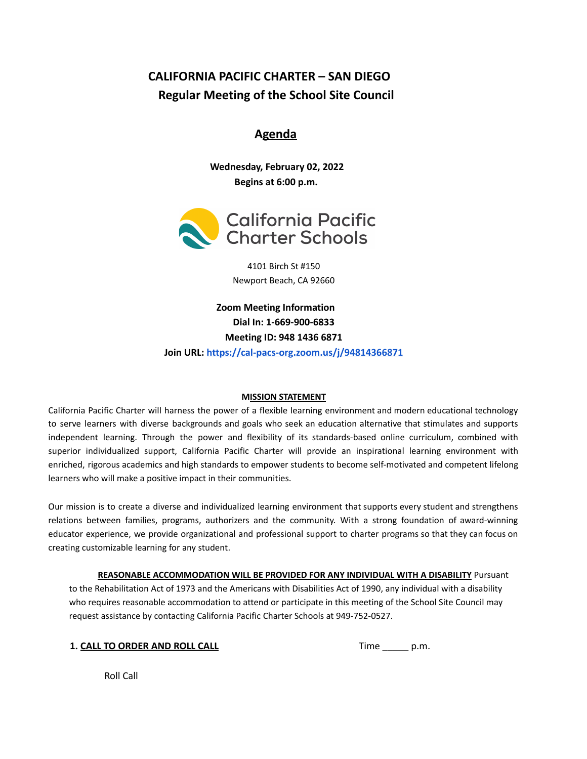# **CALIFORNIA PACIFIC CHARTER – SAN DIEGO Regular Meeting of the School Site Council**

# **Agenda**

**Wednesday, February 02, 2022 Begins at 6:00 p.m.**



4101 Birch St #150 Newport Beach, CA 92660

**Zoom Meeting Information Dial In: 1-669-900-6833 Meeting ID: 948 1436 6871 Join URL: <https://cal-pacs-org.zoom.us/j/94814366871>**

## **MISSION STATEMENT**

California Pacific Charter will harness the power of a flexible learning environment and modern educational technology to serve learners with diverse backgrounds and goals who seek an education alternative that stimulates and supports independent learning. Through the power and flexibility of its standards-based online curriculum, combined with superior individualized support, California Pacific Charter will provide an inspirational learning environment with enriched, rigorous academics and high standards to empower students to become self-motivated and competent lifelong learners who will make a positive impact in their communities.

Our mission is to create a diverse and individualized learning environment that supports every student and strengthens relations between families, programs, authorizers and the community. With a strong foundation of award-winning educator experience, we provide organizational and professional support to charter programs so that they can focus on creating customizable learning for any student.

**REASONABLE ACCOMMODATION WILL BE PROVIDED FOR ANY INDIVIDUAL WITH A DISABILITY** Pursuant to the Rehabilitation Act of 1973 and the Americans with Disabilities Act of 1990, any individual with a disability who requires reasonable accommodation to attend or participate in this meeting of the School Site Council may request assistance by contacting California Pacific Charter Schools at 949-752-0527.

|  | 1. CALL TO ORDER AND ROLL CALL |  |  |
|--|--------------------------------|--|--|
|  |                                |  |  |

**1. CALL TO ORDER AND ROLL CALL** Time \_\_\_\_\_ p.m.

Roll Call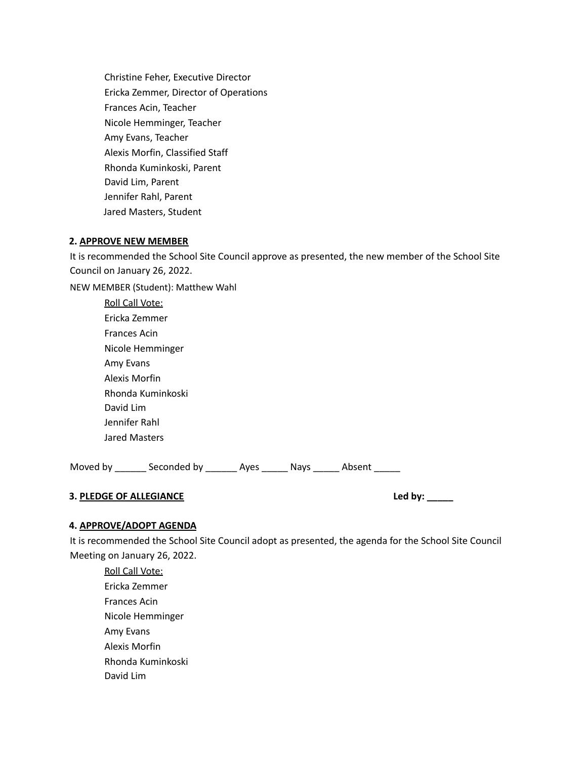Christine Feher, Executive Director Ericka Zemmer, Director of Operations Frances Acin, Teacher Nicole Hemminger, Teacher Amy Evans, Teacher Alexis Morfin, Classified Staff Rhonda Kuminkoski, Parent David Lim, Parent Jennifer Rahl, Parent Jared Masters, Student

#### **2. APPROVE NEW MEMBER**

It is recommended the School Site Council approve as presented, the new member of the School Site Council on January 26, 2022.

NEW MEMBER (Student): Matthew Wahl Roll Call Vote: Ericka Zemmer Frances Acin Nicole Hemminger Amy Evans

| <b>AILIV EVALIS</b> |  |  |  |  |  |
|---------------------|--|--|--|--|--|
| Alexis Morfin       |  |  |  |  |  |
| Rhonda Kuminkoski   |  |  |  |  |  |
| David Lim           |  |  |  |  |  |
| Jennifer Rahl       |  |  |  |  |  |
| Jared Masters       |  |  |  |  |  |

Moved by \_\_\_\_\_\_\_ Seconded by \_\_\_\_\_\_\_ Ayes \_\_\_\_\_\_ Nays \_\_\_\_\_\_ Absent \_\_\_\_\_\_

# **3. PLEDGE OF ALLEGIANCE Led by: \_\_\_\_\_**

## **4. APPROVE/ADOPT AGENDA**

It is recommended the School Site Council adopt as presented, the agenda for the School Site Council Meeting on January 26, 2022.

Roll Call Vote: Ericka Zemmer Frances Acin Nicole Hemminger Amy Evans Alexis Morfin Rhonda Kuminkoski David Lim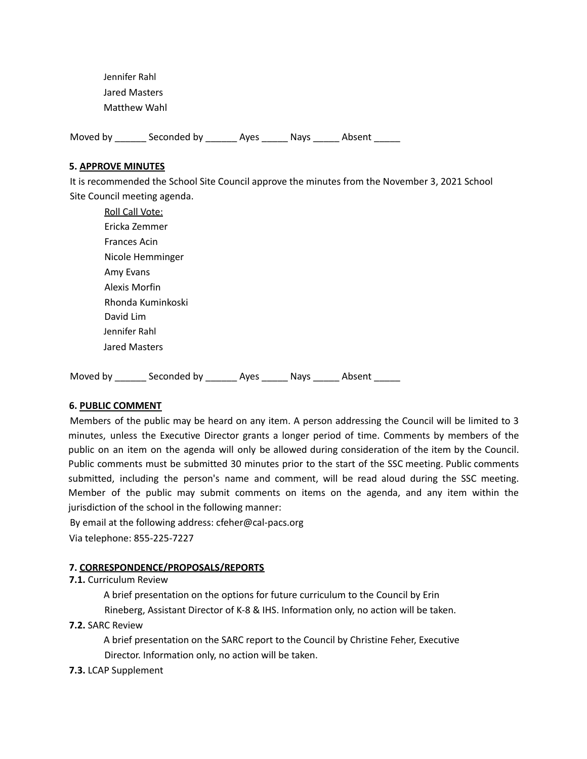Jennifer Rahl Jared Masters Matthew Wahl

Moved by \_\_\_\_\_\_\_ Seconded by \_\_\_\_\_\_\_ Ayes \_\_\_\_\_\_ Nays \_\_\_\_\_\_ Absent \_\_\_\_\_\_

#### **5. APPROVE MINUTES**

It is recommended the School Site Council approve the minutes from the November 3, 2021 School Site Council meeting agenda.

| <b>Roll Call Vote:</b> |  |
|------------------------|--|
| Ericka Zemmer          |  |
| <b>Frances Acin</b>    |  |
| Nicole Hemminger       |  |
| Amy Evans              |  |
| Alexis Morfin          |  |
| Rhonda Kuminkoski      |  |
| David Lim              |  |
| Jennifer Rahl          |  |
| Jared Masters          |  |
|                        |  |

Moved by \_\_\_\_\_\_\_ Seconded by \_\_\_\_\_\_\_ Ayes \_\_\_\_\_\_ Nays \_\_\_\_\_\_ Absent \_\_\_\_\_\_

## **6. PUBLIC COMMENT**

Members of the public may be heard on any item. A person addressing the Council will be limited to 3 minutes, unless the Executive Director grants a longer period of time. Comments by members of the public on an item on the agenda will only be allowed during consideration of the item by the Council. Public comments must be submitted 30 minutes prior to the start of the SSC meeting. Public comments submitted, including the person's name and comment, will be read aloud during the SSC meeting. Member of the public may submit comments on items on the agenda, and any item within the jurisdiction of the school in the following manner:

By email at the following address: cfeher@cal-pacs.org Via telephone: 855-225-7227

#### **7. CORRESPONDENCE/PROPOSALS/REPORTS**

#### **7.1.** Curriculum Review

A brief presentation on the options for future curriculum to the Council by Erin Rineberg, Assistant Director of K-8 & IHS. Information only, no action will be taken.

## **7.2.** SARC Review

A brief presentation on the SARC report to the Council by Christine Feher, Executive Director. Information only, no action will be taken.

## **7.3.** LCAP Supplement